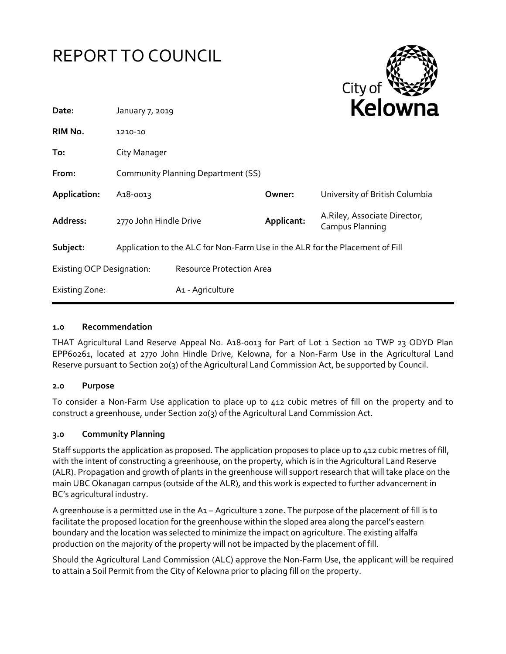| <b>REPORT TO COUNCIL</b>         |                                                                              |                                 |            | City of                                         |
|----------------------------------|------------------------------------------------------------------------------|---------------------------------|------------|-------------------------------------------------|
| Date:                            | January 7, 2019                                                              |                                 |            | <b>Kelowna</b>                                  |
| RIM No.                          | 1210-10                                                                      |                                 |            |                                                 |
| To:                              | City Manager                                                                 |                                 |            |                                                 |
| From:                            | <b>Community Planning Department (SS)</b>                                    |                                 |            |                                                 |
| Application:                     | A <sub>1</sub> 8-0013                                                        |                                 | Owner:     | University of British Columbia                  |
| <b>Address:</b>                  | 2770 John Hindle Drive                                                       |                                 | Applicant: | A.Riley, Associate Director,<br>Campus Planning |
| Subject:                         | Application to the ALC for Non-Farm Use in the ALR for the Placement of Fill |                                 |            |                                                 |
| <b>Existing OCP Designation:</b> |                                                                              | <b>Resource Protection Area</b> |            |                                                 |
| <b>Existing Zone:</b>            |                                                                              | A1 - Agriculture                |            |                                                 |

# **1.0 Recommendation**

THAT Agricultural Land Reserve Appeal No. A18-0013 for Part of Lot 1 Section 10 TWP 23 ODYD Plan EPP60261, located at 2770 John Hindle Drive, Kelowna, for a Non-Farm Use in the Agricultural Land Reserve pursuant to Section 20(3) of the Agricultural Land Commission Act, be supported by Council.

# **2.0 Purpose**

To consider a Non-Farm Use application to place up to 412 cubic metres of fill on the property and to construct a greenhouse, under Section 20(3) of the Agricultural Land Commission Act.

# **3.0 Community Planning**

Staff supports the application as proposed. The application proposes to place up to 412 cubic metres of fill, with the intent of constructing a greenhouse, on the property, which is in the Agricultural Land Reserve (ALR). Propagation and growth of plants in the greenhouse will support research that will take place on the main UBC Okanagan campus (outside of the ALR), and this work is expected to further advancement in BC's agricultural industry.

A greenhouse is a permitted use in the A1 – Agriculture 1 zone. The purpose of the placement of fill is to facilitate the proposed location for the greenhouse within the sloped area along the parcel's eastern boundary and the location was selected to minimize the impact on agriculture. The existing alfalfa production on the majority of the property will not be impacted by the placement of fill.

Should the Agricultural Land Commission (ALC) approve the Non-Farm Use, the applicant will be required to attain a Soil Permit from the City of Kelowna prior to placing fill on the property.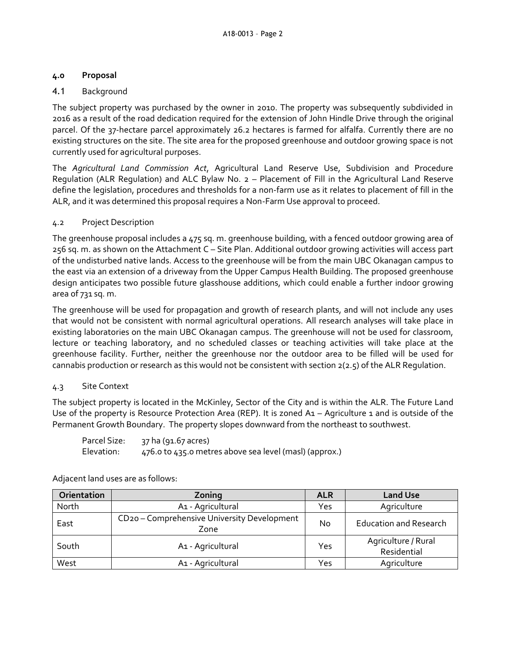# **4.0 Proposal**

# 4.1 Background

The subject property was purchased by the owner in 2010. The property was subsequently subdivided in 2016 as a result of the road dedication required for the extension of John Hindle Drive through the original parcel. Of the 37-hectare parcel approximately 26.2 hectares is farmed for alfalfa. Currently there are no existing structures on the site. The site area for the proposed greenhouse and outdoor growing space is not currently used for agricultural purposes.

The *Agricultural Land Commission Act*, Agricultural Land Reserve Use, Subdivision and Procedure Regulation (ALR Regulation) and ALC Bylaw No. 2 – Placement of Fill in the Agricultural Land Reserve define the legislation, procedures and thresholds for a non-farm use as it relates to placement of fill in the ALR, and it was determined this proposal requires a Non-Farm Use approval to proceed.

# 4.2 Project Description

The greenhouse proposal includes a 475 sq. m. greenhouse building, with a fenced outdoor growing area of 256 sq. m. as shown on the Attachment C – Site Plan. Additional outdoor growing activities will access part of the undisturbed native lands. Access to the greenhouse will be from the main UBC Okanagan campus to the east via an extension of a driveway from the Upper Campus Health Building. The proposed greenhouse design anticipates two possible future glasshouse additions, which could enable a further indoor growing area of 731 sq. m.

The greenhouse will be used for propagation and growth of research plants, and will not include any uses that would not be consistent with normal agricultural operations. All research analyses will take place in existing laboratories on the main UBC Okanagan campus. The greenhouse will not be used for classroom, lecture or teaching laboratory, and no scheduled classes or teaching activities will take place at the greenhouse facility. Further, neither the greenhouse nor the outdoor area to be filled will be used for cannabis production or research as this would not be consistent with section 2(2.5) of the ALR Regulation.

# 4.3 Site Context

The subject property is located in the McKinley, Sector of the City and is within the ALR. The Future Land Use of the property is Resource Protection Area (REP). It is zoned A1 – Agriculture 1 and is outside of the Permanent Growth Boundary. The property slopes downward from the northeast to southwest.

| Parcel Size: | 37 ha (91.67 acres)                                    |
|--------------|--------------------------------------------------------|
| Elevation:   | 476.0 to 435.0 metres above sea level (masl) (approx.) |

| Orientation | Zoning                                              | <b>ALR</b> | <b>Land Use</b>                    |
|-------------|-----------------------------------------------------|------------|------------------------------------|
| North       | A1 - Agricultural                                   | Yes        | Agriculture                        |
| East        | CD20 - Comprehensive University Development<br>Zone | No         | <b>Education and Research</b>      |
| South       | A1 - Agricultural                                   | Yes        | Agriculture / Rural<br>Residential |
| West        | A1 - Agricultural                                   | Yes        | Agriculture                        |

Adjacent land uses are as follows: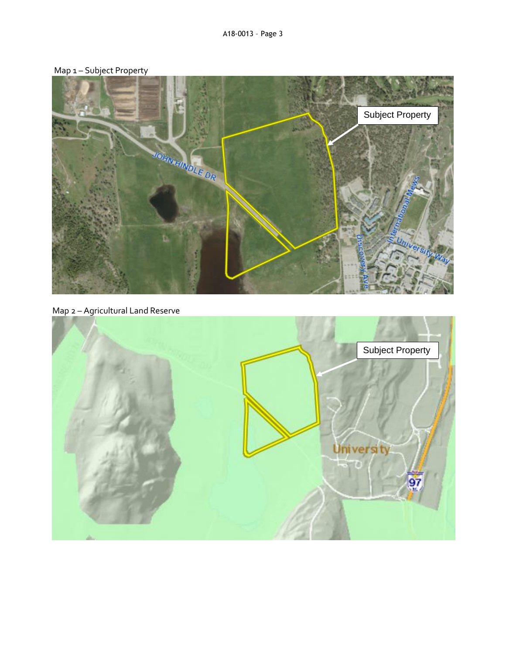



Map 2 – Agricultural Land Reserve

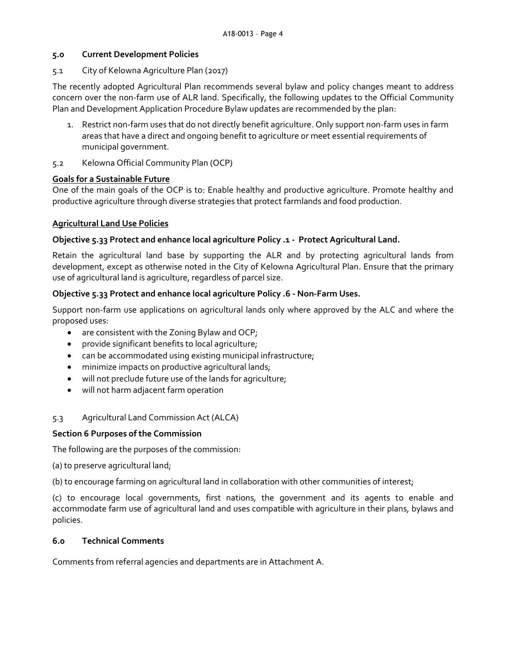#### **5.0 Current Development Policies**

#### 5.1 City of Kelowna Agriculture Plan (2017)

The recently adopted Agricultural Plan recommends several bylaw and policy changes meant to address concern over the non-farm use of ALR land. Specifically, the following updates to the Official Community Plan and Development Application Procedure Bylaw updates are recommended by the plan:

- 1. Restrict non-farm uses that do not directly benefit agriculture. Only support non-farm uses in farm areas that have a direct and ongoing benefit to agriculture or meet essential requirements of municipal government.
- 5.2 Kelowna Official Community Plan (OCP)

## **Goals for a Sustainable Future**

One of the main goals of the OCP is to: Enable healthy and productive agriculture. Promote healthy and productive agriculture through diverse strategies that protect farmlands and food production.

## **Agricultural Land Use Policies**

## **Objective 5.33 Protect and enhance local agriculture Policy .1 - Protect Agricultural Land.**

Retain the agricultural land base by supporting the ALR and by protecting agricultural lands from development, except as otherwise noted in the City of Kelowna Agricultural Plan. Ensure that the primary use of agricultural land is agriculture, regardless of parcel size.

# **Objective 5.33 Protect and enhance local agriculture Policy .6 - Non-Farm Uses.**

Support non-farm use applications on agricultural lands only where approved by the ALC and where the proposed uses:

- are consistent with the Zoning Bylaw and OCP;
- provide significant benefits to local agriculture;
- can be accommodated using existing municipal infrastructure;
- minimize impacts on productive agricultural lands;
- will not preclude future use of the lands for agriculture;
- will not harm adjacent farm operation

# 5.3 Agricultural Land Commission Act (ALCA)

# **Section 6 Purposes of the Commission**

The following are the purposes of the commission:

(a) to preserve agricultural land;

(b) to encourage farming on agricultural land in collaboration with other communities of interest;

(c) to encourage local governments, first nations, the government and its agents to enable and accommodate farm use of agricultural land and uses compatible with agriculture in their plans, bylaws and policies.

#### **6.0 Technical Comments**

Comments from referral agencies and departments are in Attachment A.